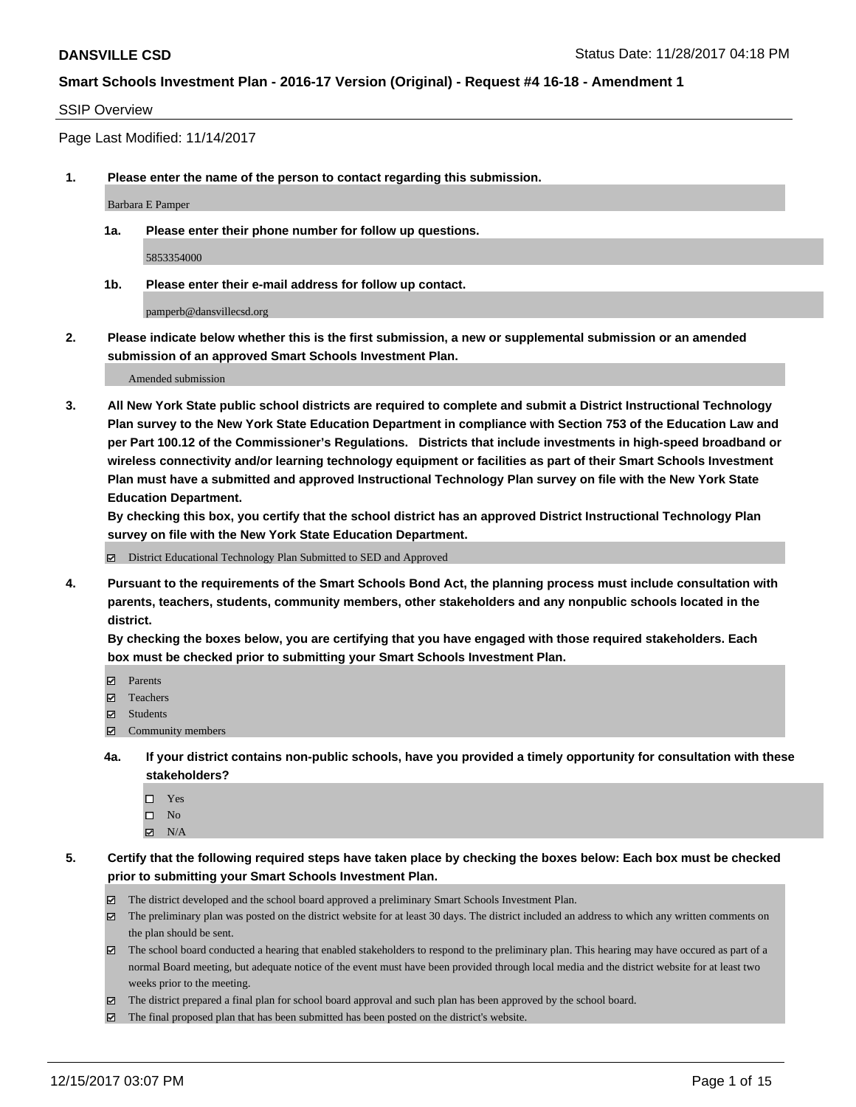#### SSIP Overview

Page Last Modified: 11/14/2017

**1. Please enter the name of the person to contact regarding this submission.**

Barbara E Pamper

**1a. Please enter their phone number for follow up questions.**

5853354000

**1b. Please enter their e-mail address for follow up contact.**

pamperb@dansvillecsd.org

**2. Please indicate below whether this is the first submission, a new or supplemental submission or an amended submission of an approved Smart Schools Investment Plan.**

Amended submission

**3. All New York State public school districts are required to complete and submit a District Instructional Technology Plan survey to the New York State Education Department in compliance with Section 753 of the Education Law and per Part 100.12 of the Commissioner's Regulations. Districts that include investments in high-speed broadband or wireless connectivity and/or learning technology equipment or facilities as part of their Smart Schools Investment Plan must have a submitted and approved Instructional Technology Plan survey on file with the New York State Education Department.** 

**By checking this box, you certify that the school district has an approved District Instructional Technology Plan survey on file with the New York State Education Department.**

District Educational Technology Plan Submitted to SED and Approved

**4. Pursuant to the requirements of the Smart Schools Bond Act, the planning process must include consultation with parents, teachers, students, community members, other stakeholders and any nonpublic schools located in the district.** 

**By checking the boxes below, you are certifying that you have engaged with those required stakeholders. Each box must be checked prior to submitting your Smart Schools Investment Plan.**

- **Parents**
- Teachers
- Students
- $\Xi$  Community members
- **4a. If your district contains non-public schools, have you provided a timely opportunity for consultation with these stakeholders?**
	- □ Yes
	- $\square$  No
	- $\boxtimes$  N/A
- **5. Certify that the following required steps have taken place by checking the boxes below: Each box must be checked prior to submitting your Smart Schools Investment Plan.**
	- The district developed and the school board approved a preliminary Smart Schools Investment Plan.
	- The preliminary plan was posted on the district website for at least 30 days. The district included an address to which any written comments on the plan should be sent.
	- The school board conducted a hearing that enabled stakeholders to respond to the preliminary plan. This hearing may have occured as part of a normal Board meeting, but adequate notice of the event must have been provided through local media and the district website for at least two weeks prior to the meeting.
	- The district prepared a final plan for school board approval and such plan has been approved by the school board.
	- $\boxtimes$  The final proposed plan that has been submitted has been posted on the district's website.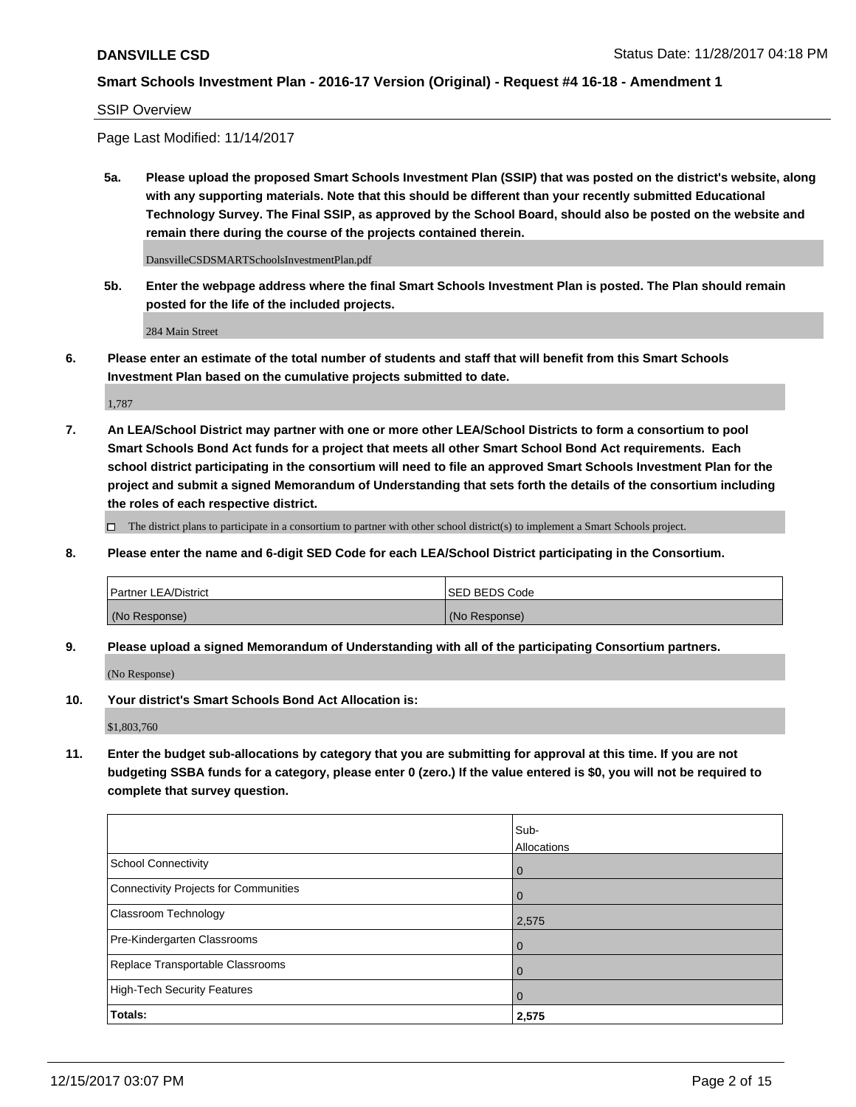#### SSIP Overview

Page Last Modified: 11/14/2017

**5a. Please upload the proposed Smart Schools Investment Plan (SSIP) that was posted on the district's website, along with any supporting materials. Note that this should be different than your recently submitted Educational Technology Survey. The Final SSIP, as approved by the School Board, should also be posted on the website and remain there during the course of the projects contained therein.**

DansvilleCSDSMARTSchoolsInvestmentPlan.pdf

**5b. Enter the webpage address where the final Smart Schools Investment Plan is posted. The Plan should remain posted for the life of the included projects.**

284 Main Street

**6. Please enter an estimate of the total number of students and staff that will benefit from this Smart Schools Investment Plan based on the cumulative projects submitted to date.**

1,787

**7. An LEA/School District may partner with one or more other LEA/School Districts to form a consortium to pool Smart Schools Bond Act funds for a project that meets all other Smart School Bond Act requirements. Each school district participating in the consortium will need to file an approved Smart Schools Investment Plan for the project and submit a signed Memorandum of Understanding that sets forth the details of the consortium including the roles of each respective district.**

 $\Box$  The district plans to participate in a consortium to partner with other school district(s) to implement a Smart Schools project.

**8. Please enter the name and 6-digit SED Code for each LEA/School District participating in the Consortium.**

| <b>Partner LEA/District</b> | <b>ISED BEDS Code</b> |
|-----------------------------|-----------------------|
| (No Response)               | (No Response)         |

**9. Please upload a signed Memorandum of Understanding with all of the participating Consortium partners.**

(No Response)

**10. Your district's Smart Schools Bond Act Allocation is:**

\$1,803,760

**11. Enter the budget sub-allocations by category that you are submitting for approval at this time. If you are not budgeting SSBA funds for a category, please enter 0 (zero.) If the value entered is \$0, you will not be required to complete that survey question.**

|                                              | Sub-<br>Allocations |
|----------------------------------------------|---------------------|
| <b>School Connectivity</b>                   | $\mathbf 0$         |
| <b>Connectivity Projects for Communities</b> | 0                   |
| Classroom Technology                         | 2,575               |
| Pre-Kindergarten Classrooms                  | 0                   |
| Replace Transportable Classrooms             | 0                   |
| <b>High-Tech Security Features</b>           | $\overline{0}$      |
| Totals:                                      | 2,575               |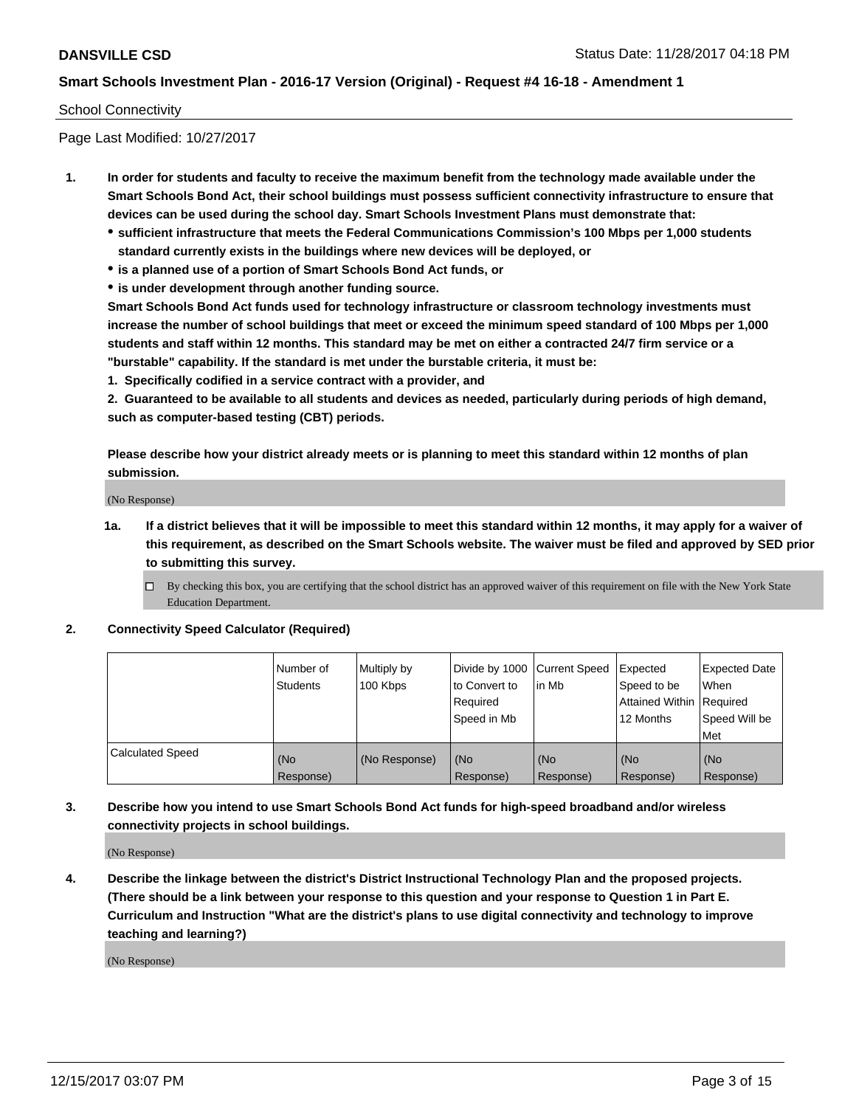#### School Connectivity

Page Last Modified: 10/27/2017

- **1. In order for students and faculty to receive the maximum benefit from the technology made available under the Smart Schools Bond Act, their school buildings must possess sufficient connectivity infrastructure to ensure that devices can be used during the school day. Smart Schools Investment Plans must demonstrate that:**
	- **sufficient infrastructure that meets the Federal Communications Commission's 100 Mbps per 1,000 students standard currently exists in the buildings where new devices will be deployed, or**
	- **is a planned use of a portion of Smart Schools Bond Act funds, or**
	- **is under development through another funding source.**

**Smart Schools Bond Act funds used for technology infrastructure or classroom technology investments must increase the number of school buildings that meet or exceed the minimum speed standard of 100 Mbps per 1,000 students and staff within 12 months. This standard may be met on either a contracted 24/7 firm service or a "burstable" capability. If the standard is met under the burstable criteria, it must be:**

**1. Specifically codified in a service contract with a provider, and**

**2. Guaranteed to be available to all students and devices as needed, particularly during periods of high demand, such as computer-based testing (CBT) periods.**

**Please describe how your district already meets or is planning to meet this standard within 12 months of plan submission.**

(No Response)

**1a. If a district believes that it will be impossible to meet this standard within 12 months, it may apply for a waiver of this requirement, as described on the Smart Schools website. The waiver must be filed and approved by SED prior to submitting this survey.**

**2. Connectivity Speed Calculator (Required)**

|                         | l Number of<br>Students | Multiply by<br>100 Kbps | Divide by 1000 Current Speed<br>to Convert to<br>Required<br>Speed in Mb | lin Mb           | Expected<br>Speed to be<br>Attained Within Required<br>12 Months | <b>Expected Date</b><br>When<br>Speed Will be<br>Met |
|-------------------------|-------------------------|-------------------------|--------------------------------------------------------------------------|------------------|------------------------------------------------------------------|------------------------------------------------------|
| <b>Calculated Speed</b> | (No<br>Response)        | (No Response)           | (No<br>Response)                                                         | (No<br>Response) | (No<br>Response)                                                 | (No<br>Response)                                     |

**3. Describe how you intend to use Smart Schools Bond Act funds for high-speed broadband and/or wireless connectivity projects in school buildings.**

(No Response)

**4. Describe the linkage between the district's District Instructional Technology Plan and the proposed projects. (There should be a link between your response to this question and your response to Question 1 in Part E. Curriculum and Instruction "What are the district's plans to use digital connectivity and technology to improve teaching and learning?)**

(No Response)

 $\Box$  By checking this box, you are certifying that the school district has an approved waiver of this requirement on file with the New York State Education Department.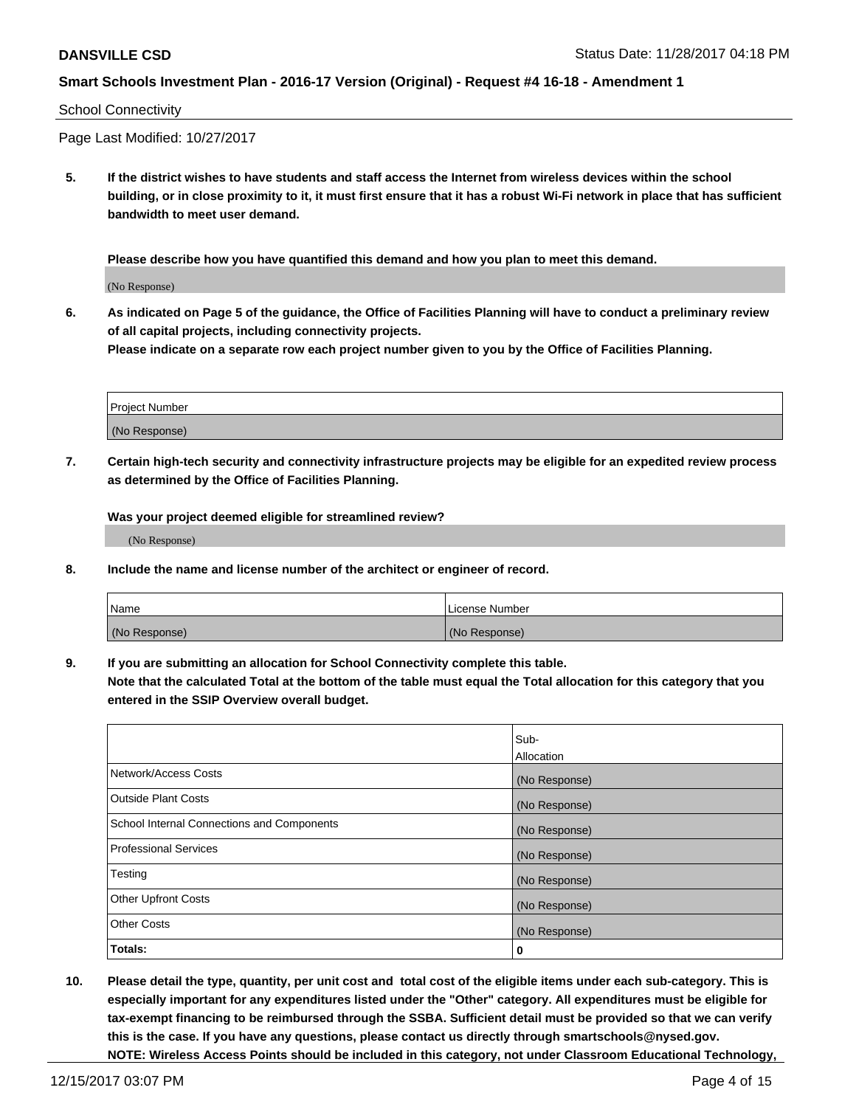#### School Connectivity

Page Last Modified: 10/27/2017

**5. If the district wishes to have students and staff access the Internet from wireless devices within the school building, or in close proximity to it, it must first ensure that it has a robust Wi-Fi network in place that has sufficient bandwidth to meet user demand.**

**Please describe how you have quantified this demand and how you plan to meet this demand.**

(No Response)

**6. As indicated on Page 5 of the guidance, the Office of Facilities Planning will have to conduct a preliminary review of all capital projects, including connectivity projects.**

**Please indicate on a separate row each project number given to you by the Office of Facilities Planning.**

| Project Number |  |
|----------------|--|
|                |  |
| (No Response)  |  |

**7. Certain high-tech security and connectivity infrastructure projects may be eligible for an expedited review process as determined by the Office of Facilities Planning.**

**Was your project deemed eligible for streamlined review?**

(No Response)

**8. Include the name and license number of the architect or engineer of record.**

| Name          | License Number |
|---------------|----------------|
| (No Response) | (No Response)  |

**9. If you are submitting an allocation for School Connectivity complete this table.**

**Note that the calculated Total at the bottom of the table must equal the Total allocation for this category that you entered in the SSIP Overview overall budget.** 

|                                            | Sub-          |
|--------------------------------------------|---------------|
|                                            | Allocation    |
| Network/Access Costs                       | (No Response) |
| <b>Outside Plant Costs</b>                 | (No Response) |
| School Internal Connections and Components | (No Response) |
| <b>Professional Services</b>               | (No Response) |
| Testing                                    | (No Response) |
| <b>Other Upfront Costs</b>                 | (No Response) |
| <b>Other Costs</b>                         | (No Response) |
| Totals:                                    | 0             |

**10. Please detail the type, quantity, per unit cost and total cost of the eligible items under each sub-category. This is especially important for any expenditures listed under the "Other" category. All expenditures must be eligible for tax-exempt financing to be reimbursed through the SSBA. Sufficient detail must be provided so that we can verify this is the case. If you have any questions, please contact us directly through smartschools@nysed.gov. NOTE: Wireless Access Points should be included in this category, not under Classroom Educational Technology,**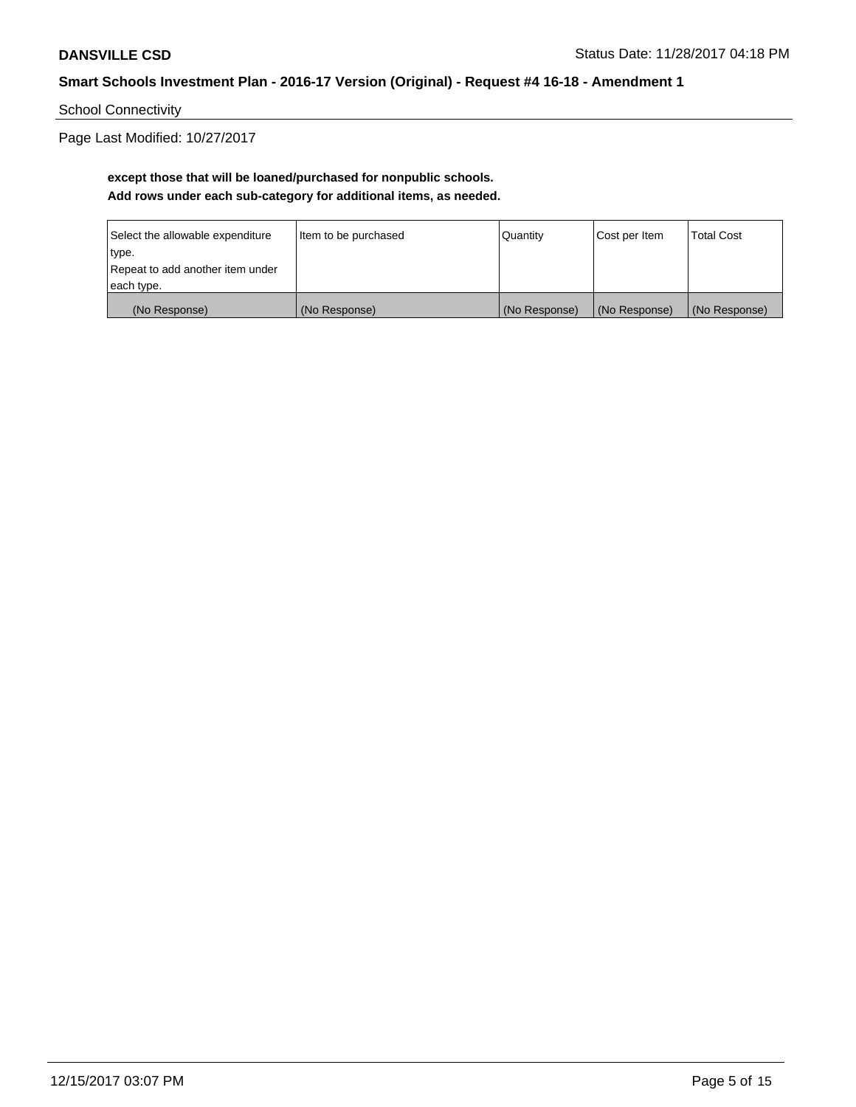School Connectivity

Page Last Modified: 10/27/2017

# **except those that will be loaned/purchased for nonpublic schools. Add rows under each sub-category for additional items, as needed.**

| Select the allowable expenditure | Item to be purchased | Quantity      | Cost per Item | <b>Total Cost</b> |
|----------------------------------|----------------------|---------------|---------------|-------------------|
| type.                            |                      |               |               |                   |
| Repeat to add another item under |                      |               |               |                   |
| each type.                       |                      |               |               |                   |
| (No Response)                    | (No Response)        | (No Response) | (No Response) | (No Response)     |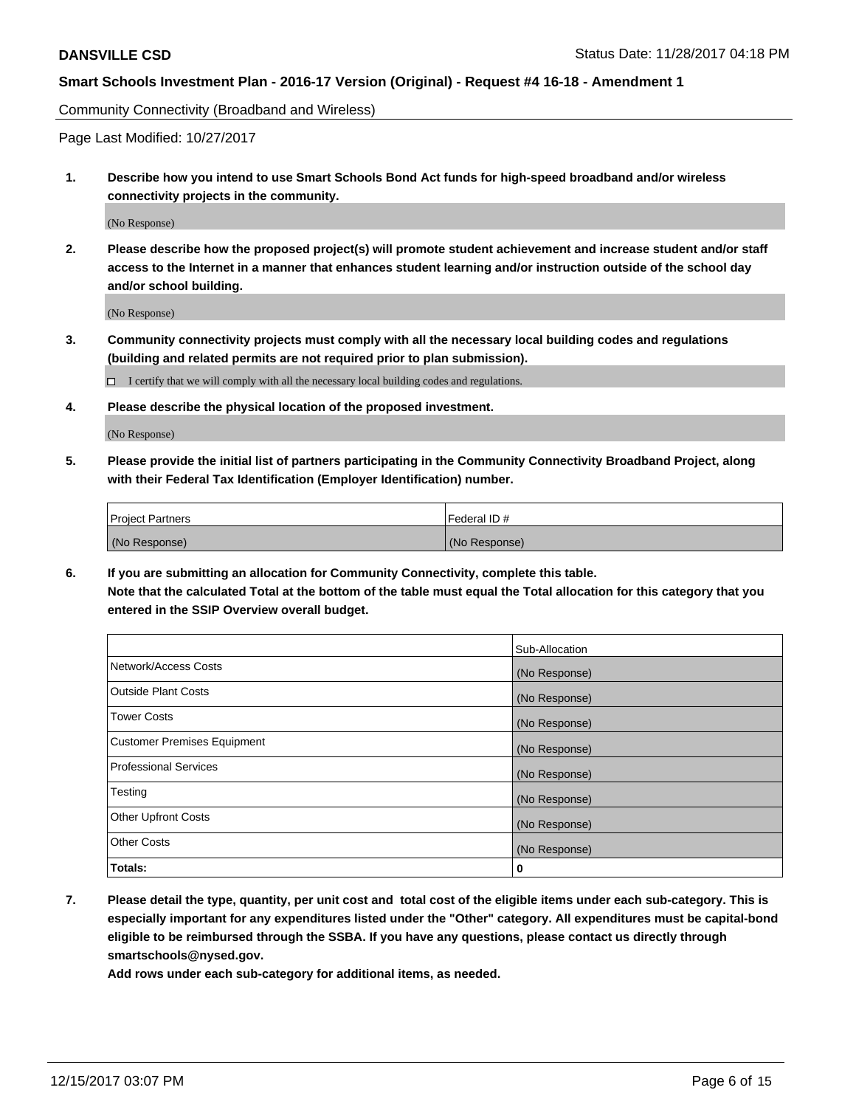Community Connectivity (Broadband and Wireless)

Page Last Modified: 10/27/2017

**1. Describe how you intend to use Smart Schools Bond Act funds for high-speed broadband and/or wireless connectivity projects in the community.**

(No Response)

**2. Please describe how the proposed project(s) will promote student achievement and increase student and/or staff access to the Internet in a manner that enhances student learning and/or instruction outside of the school day and/or school building.**

(No Response)

**3. Community connectivity projects must comply with all the necessary local building codes and regulations (building and related permits are not required prior to plan submission).**

 $\Box$  I certify that we will comply with all the necessary local building codes and regulations.

**4. Please describe the physical location of the proposed investment.**

(No Response)

**5. Please provide the initial list of partners participating in the Community Connectivity Broadband Project, along with their Federal Tax Identification (Employer Identification) number.**

| <b>Project Partners</b> | l Federal ID # |
|-------------------------|----------------|
| (No Response)           | (No Response)  |

**6. If you are submitting an allocation for Community Connectivity, complete this table. Note that the calculated Total at the bottom of the table must equal the Total allocation for this category that you entered in the SSIP Overview overall budget.**

|                                    | Sub-Allocation |
|------------------------------------|----------------|
| Network/Access Costs               | (No Response)  |
| <b>Outside Plant Costs</b>         | (No Response)  |
| <b>Tower Costs</b>                 | (No Response)  |
| <b>Customer Premises Equipment</b> | (No Response)  |
| <b>Professional Services</b>       | (No Response)  |
| Testing                            | (No Response)  |
| <b>Other Upfront Costs</b>         | (No Response)  |
| <b>Other Costs</b>                 | (No Response)  |
| Totals:                            | 0              |

**7. Please detail the type, quantity, per unit cost and total cost of the eligible items under each sub-category. This is especially important for any expenditures listed under the "Other" category. All expenditures must be capital-bond eligible to be reimbursed through the SSBA. If you have any questions, please contact us directly through smartschools@nysed.gov.**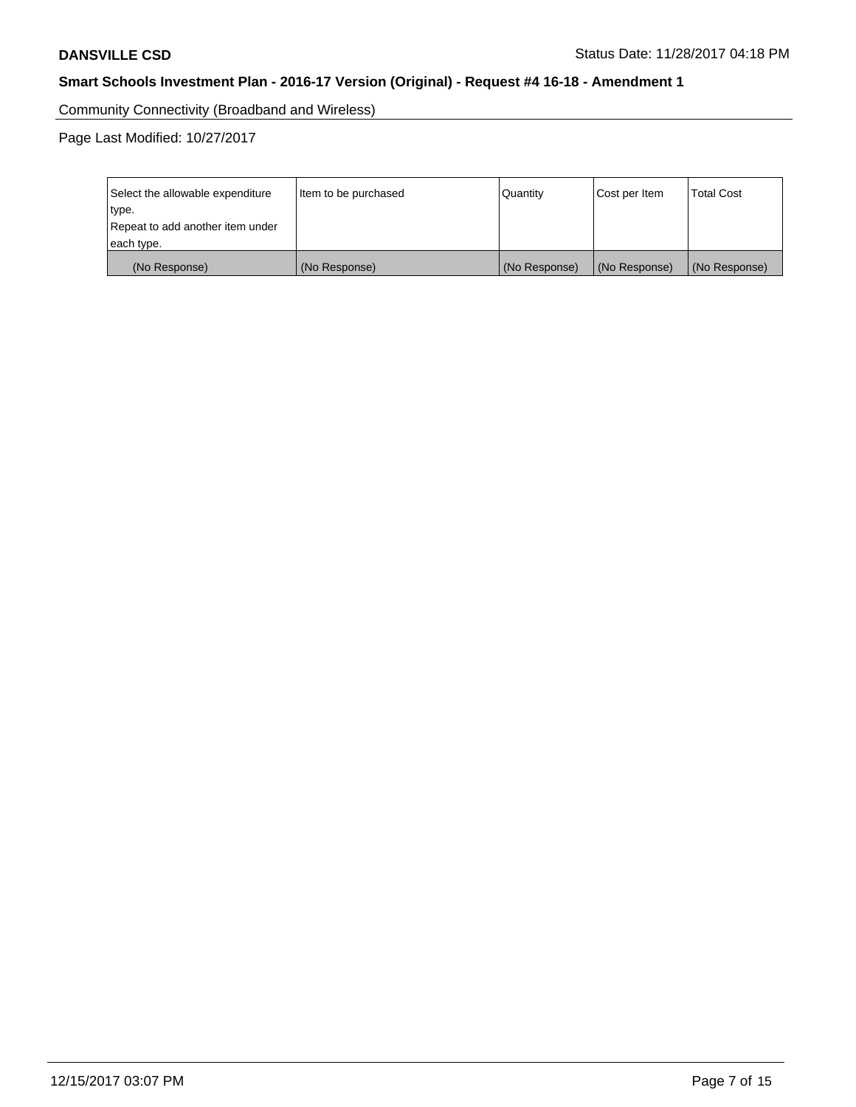Community Connectivity (Broadband and Wireless)

Page Last Modified: 10/27/2017

| Select the allowable expenditure<br>type.<br>Repeat to add another item under | Item to be purchased<br> Quantity |               | Cost per Item | <b>Total Cost</b> |
|-------------------------------------------------------------------------------|-----------------------------------|---------------|---------------|-------------------|
| each type.                                                                    |                                   |               |               |                   |
| (No Response)                                                                 | (No Response)                     | (No Response) | (No Response) | (No Response)     |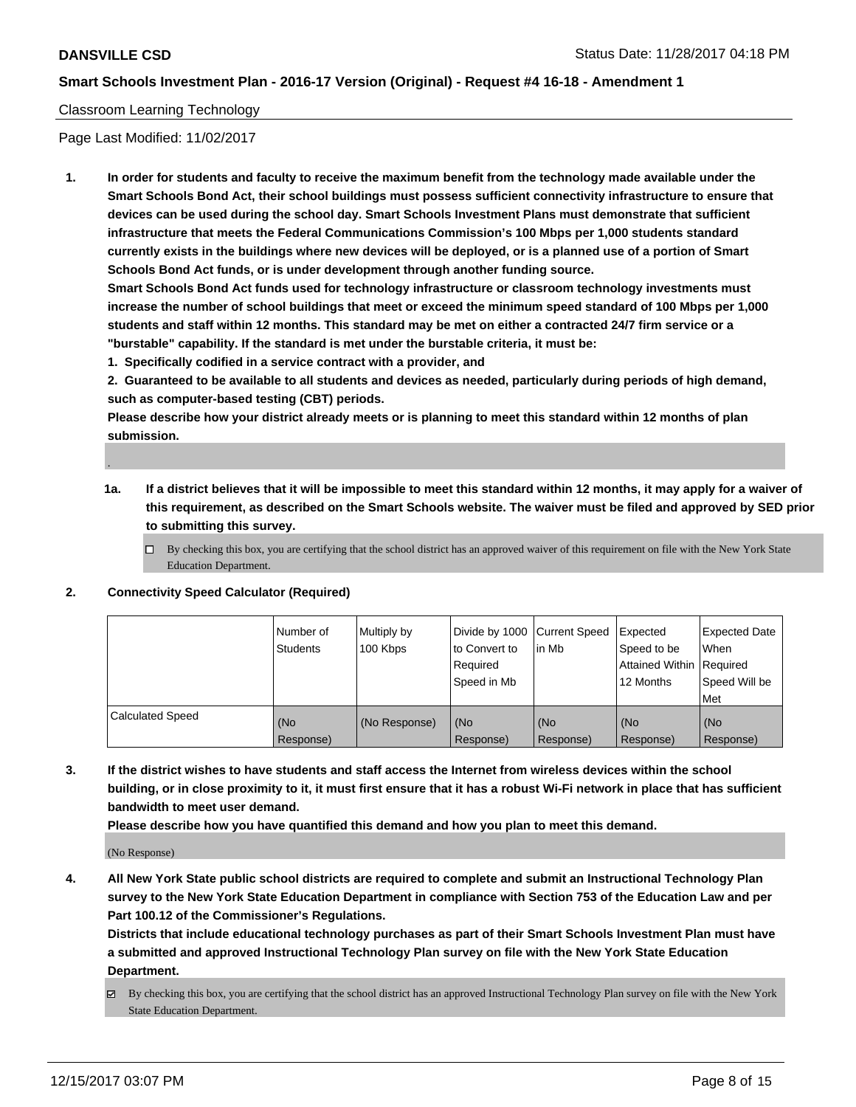.

## **Smart Schools Investment Plan - 2016-17 Version (Original) - Request #4 16-18 - Amendment 1**

### Classroom Learning Technology

Page Last Modified: 11/02/2017

**1. In order for students and faculty to receive the maximum benefit from the technology made available under the Smart Schools Bond Act, their school buildings must possess sufficient connectivity infrastructure to ensure that devices can be used during the school day. Smart Schools Investment Plans must demonstrate that sufficient infrastructure that meets the Federal Communications Commission's 100 Mbps per 1,000 students standard currently exists in the buildings where new devices will be deployed, or is a planned use of a portion of Smart Schools Bond Act funds, or is under development through another funding source.**

**Smart Schools Bond Act funds used for technology infrastructure or classroom technology investments must increase the number of school buildings that meet or exceed the minimum speed standard of 100 Mbps per 1,000 students and staff within 12 months. This standard may be met on either a contracted 24/7 firm service or a "burstable" capability. If the standard is met under the burstable criteria, it must be:**

**1. Specifically codified in a service contract with a provider, and**

**2. Guaranteed to be available to all students and devices as needed, particularly during periods of high demand, such as computer-based testing (CBT) periods.**

**Please describe how your district already meets or is planning to meet this standard within 12 months of plan submission.**

- **1a. If a district believes that it will be impossible to meet this standard within 12 months, it may apply for a waiver of this requirement, as described on the Smart Schools website. The waiver must be filed and approved by SED prior to submitting this survey.**
	- $\Box$  By checking this box, you are certifying that the school district has an approved waiver of this requirement on file with the New York State Education Department.
- **2. Connectivity Speed Calculator (Required)**

|                         | Number of<br>Students | Multiply by<br>100 Kbps | Divide by 1000 Current Speed<br>to Convert to<br>Required<br>Speed in Mb | lin Mb           | Expected<br>Speed to be<br>Attained Within   Required<br>12 Months | <b>Expected Date</b><br><b>When</b><br>Speed Will be<br>Met |
|-------------------------|-----------------------|-------------------------|--------------------------------------------------------------------------|------------------|--------------------------------------------------------------------|-------------------------------------------------------------|
| <b>Calculated Speed</b> | (No<br>Response)      | (No Response)           | l (No<br>Response)                                                       | (No<br>Response) | (No<br>Response)                                                   | (No<br>Response)                                            |

**3. If the district wishes to have students and staff access the Internet from wireless devices within the school building, or in close proximity to it, it must first ensure that it has a robust Wi-Fi network in place that has sufficient bandwidth to meet user demand.**

**Please describe how you have quantified this demand and how you plan to meet this demand.**

(No Response)

**4. All New York State public school districts are required to complete and submit an Instructional Technology Plan survey to the New York State Education Department in compliance with Section 753 of the Education Law and per Part 100.12 of the Commissioner's Regulations.**

**Districts that include educational technology purchases as part of their Smart Schools Investment Plan must have a submitted and approved Instructional Technology Plan survey on file with the New York State Education Department.**

By checking this box, you are certifying that the school district has an approved Instructional Technology Plan survey on file with the New York State Education Department.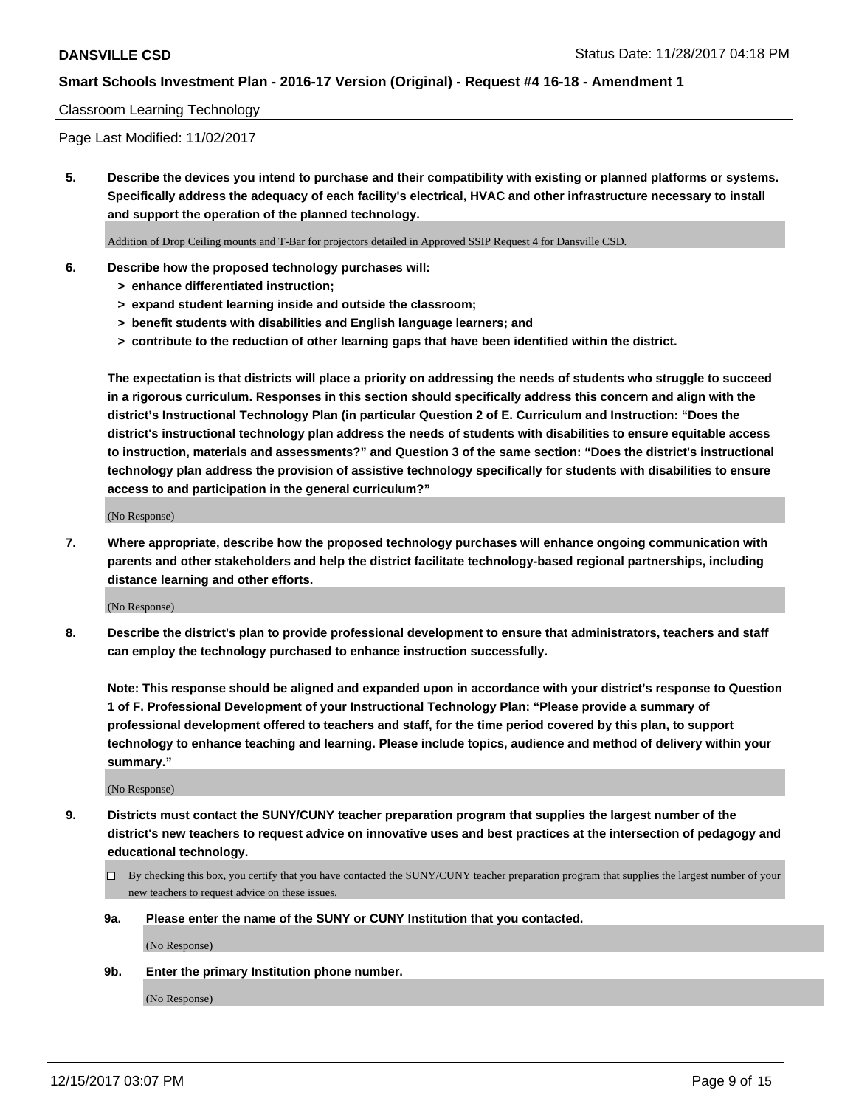### Classroom Learning Technology

Page Last Modified: 11/02/2017

**5. Describe the devices you intend to purchase and their compatibility with existing or planned platforms or systems. Specifically address the adequacy of each facility's electrical, HVAC and other infrastructure necessary to install and support the operation of the planned technology.**

Addition of Drop Ceiling mounts and T-Bar for projectors detailed in Approved SSIP Request 4 for Dansville CSD.

- **6. Describe how the proposed technology purchases will:**
	- **> enhance differentiated instruction;**
	- **> expand student learning inside and outside the classroom;**
	- **> benefit students with disabilities and English language learners; and**
	- **> contribute to the reduction of other learning gaps that have been identified within the district.**

**The expectation is that districts will place a priority on addressing the needs of students who struggle to succeed in a rigorous curriculum. Responses in this section should specifically address this concern and align with the district's Instructional Technology Plan (in particular Question 2 of E. Curriculum and Instruction: "Does the district's instructional technology plan address the needs of students with disabilities to ensure equitable access to instruction, materials and assessments?" and Question 3 of the same section: "Does the district's instructional technology plan address the provision of assistive technology specifically for students with disabilities to ensure access to and participation in the general curriculum?"**

(No Response)

**7. Where appropriate, describe how the proposed technology purchases will enhance ongoing communication with parents and other stakeholders and help the district facilitate technology-based regional partnerships, including distance learning and other efforts.**

(No Response)

**8. Describe the district's plan to provide professional development to ensure that administrators, teachers and staff can employ the technology purchased to enhance instruction successfully.**

**Note: This response should be aligned and expanded upon in accordance with your district's response to Question 1 of F. Professional Development of your Instructional Technology Plan: "Please provide a summary of professional development offered to teachers and staff, for the time period covered by this plan, to support technology to enhance teaching and learning. Please include topics, audience and method of delivery within your summary."**

(No Response)

- **9. Districts must contact the SUNY/CUNY teacher preparation program that supplies the largest number of the district's new teachers to request advice on innovative uses and best practices at the intersection of pedagogy and educational technology.**
	- By checking this box, you certify that you have contacted the SUNY/CUNY teacher preparation program that supplies the largest number of your new teachers to request advice on these issues.
	- **9a. Please enter the name of the SUNY or CUNY Institution that you contacted.**

(No Response)

**9b. Enter the primary Institution phone number.**

(No Response)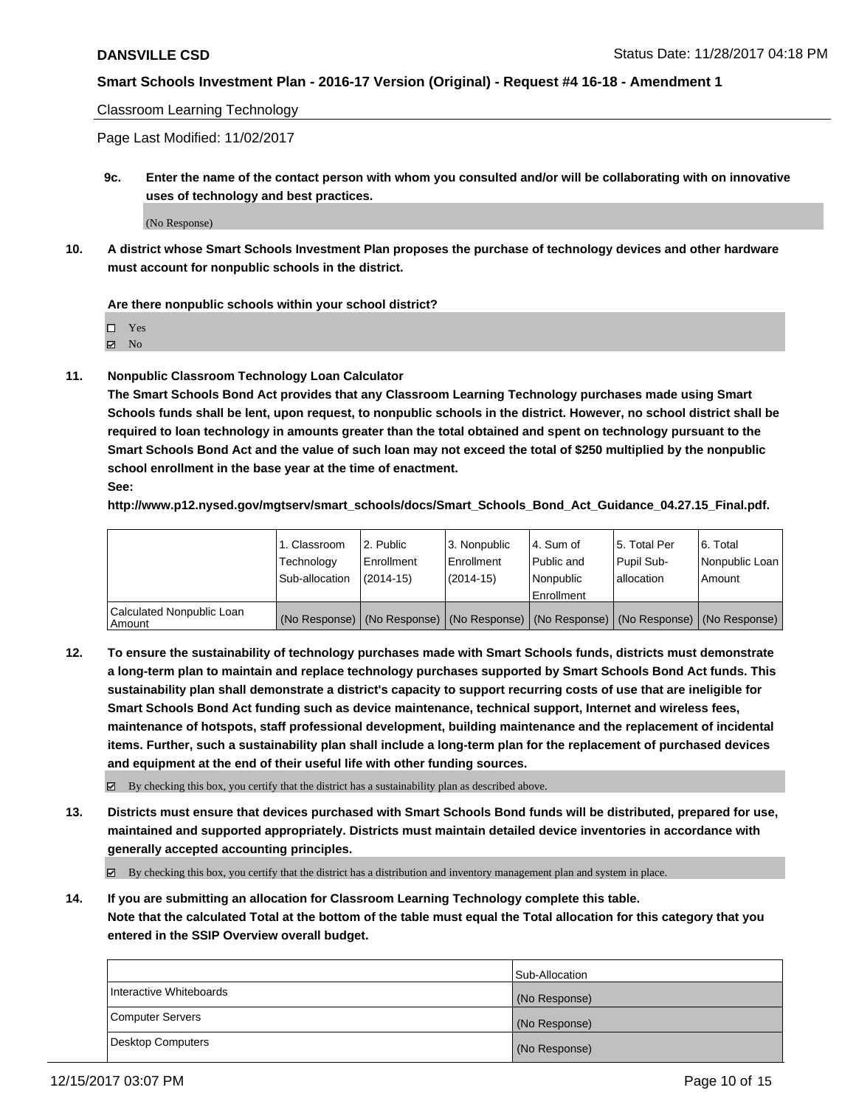Classroom Learning Technology

Page Last Modified: 11/02/2017

**9c. Enter the name of the contact person with whom you consulted and/or will be collaborating with on innovative uses of technology and best practices.**

(No Response)

**10. A district whose Smart Schools Investment Plan proposes the purchase of technology devices and other hardware must account for nonpublic schools in the district.**

**Are there nonpublic schools within your school district?**

Yes

 $\boxtimes$  No

**11. Nonpublic Classroom Technology Loan Calculator**

**The Smart Schools Bond Act provides that any Classroom Learning Technology purchases made using Smart Schools funds shall be lent, upon request, to nonpublic schools in the district. However, no school district shall be required to loan technology in amounts greater than the total obtained and spent on technology pursuant to the Smart Schools Bond Act and the value of such loan may not exceed the total of \$250 multiplied by the nonpublic school enrollment in the base year at the time of enactment.**

**See:**

**http://www.p12.nysed.gov/mgtserv/smart\_schools/docs/Smart\_Schools\_Bond\_Act\_Guidance\_04.27.15\_Final.pdf.**

|                                       | 1. Classroom   | l 2. Public   | 3. Nonpublic | l 4. Sum of | 15. Total Per                                                                                 | 6. Total       |
|---------------------------------------|----------------|---------------|--------------|-------------|-----------------------------------------------------------------------------------------------|----------------|
|                                       | Technology     | Enrollment    | Enrollment   | Public and  | Pupil Sub-                                                                                    | Nonpublic Loan |
|                                       | Sub-allocation | $(2014 - 15)$ | $(2014-15)$  | l Nonpublic | allocation                                                                                    | Amount         |
|                                       |                |               |              | Enrollment  |                                                                                               |                |
| Calculated Nonpublic Loan<br>  Amount |                |               |              |             | (No Response)   (No Response)   (No Response)   (No Response)   (No Response)   (No Response) |                |

**12. To ensure the sustainability of technology purchases made with Smart Schools funds, districts must demonstrate a long-term plan to maintain and replace technology purchases supported by Smart Schools Bond Act funds. This sustainability plan shall demonstrate a district's capacity to support recurring costs of use that are ineligible for Smart Schools Bond Act funding such as device maintenance, technical support, Internet and wireless fees, maintenance of hotspots, staff professional development, building maintenance and the replacement of incidental items. Further, such a sustainability plan shall include a long-term plan for the replacement of purchased devices and equipment at the end of their useful life with other funding sources.**

 $\boxtimes$  By checking this box, you certify that the district has a sustainability plan as described above.

**13. Districts must ensure that devices purchased with Smart Schools Bond funds will be distributed, prepared for use, maintained and supported appropriately. Districts must maintain detailed device inventories in accordance with generally accepted accounting principles.**

By checking this box, you certify that the district has a distribution and inventory management plan and system in place.

**14. If you are submitting an allocation for Classroom Learning Technology complete this table. Note that the calculated Total at the bottom of the table must equal the Total allocation for this category that you entered in the SSIP Overview overall budget.**

|                         | Sub-Allocation |
|-------------------------|----------------|
| Interactive Whiteboards | (No Response)  |
| Computer Servers        | (No Response)  |
| Desktop Computers       | (No Response)  |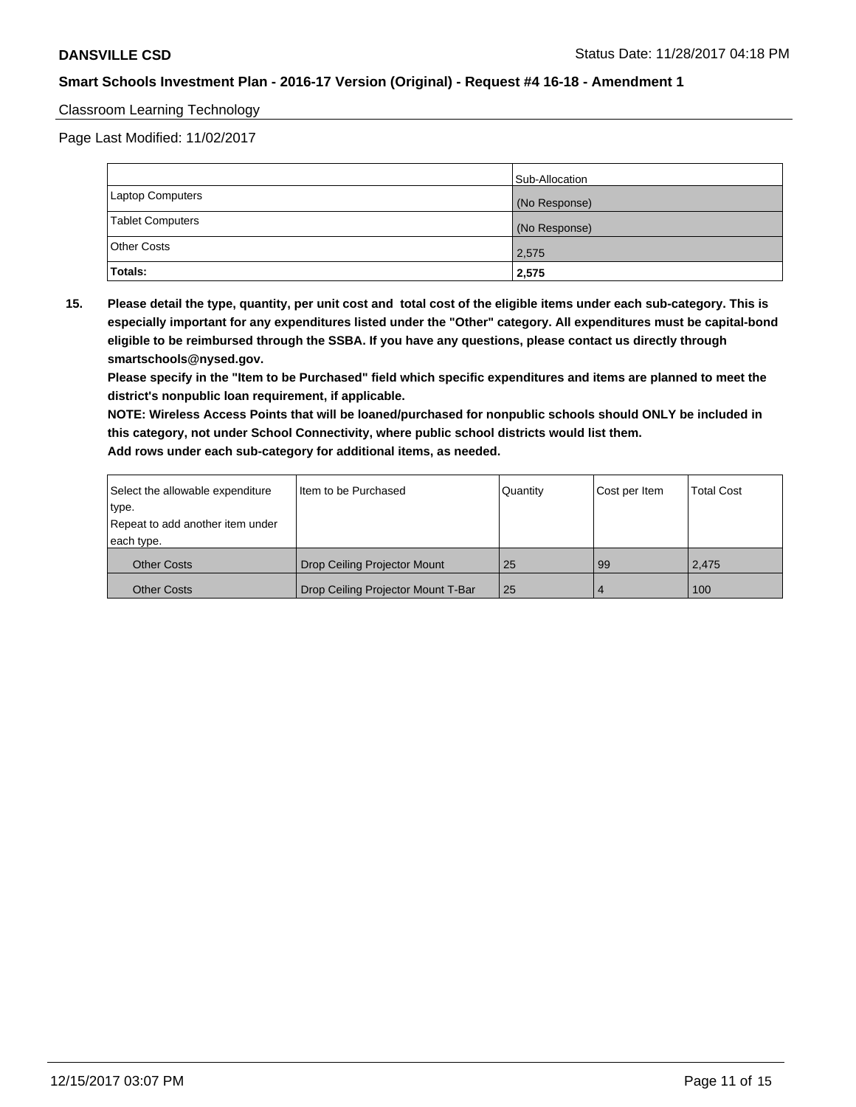### Classroom Learning Technology

Page Last Modified: 11/02/2017

|                         | Sub-Allocation |
|-------------------------|----------------|
| Laptop Computers        | (No Response)  |
| <b>Tablet Computers</b> | (No Response)  |
| Other Costs             | 2,575          |
| Totals:                 | 2,575          |

**15. Please detail the type, quantity, per unit cost and total cost of the eligible items under each sub-category. This is especially important for any expenditures listed under the "Other" category. All expenditures must be capital-bond eligible to be reimbursed through the SSBA. If you have any questions, please contact us directly through smartschools@nysed.gov.**

**Please specify in the "Item to be Purchased" field which specific expenditures and items are planned to meet the district's nonpublic loan requirement, if applicable.**

**NOTE: Wireless Access Points that will be loaned/purchased for nonpublic schools should ONLY be included in this category, not under School Connectivity, where public school districts would list them. Add rows under each sub-category for additional items, as needed.**

| Select the allowable expenditure                   | I Item to be Purchased             | Quantity | Cost per Item  | <b>Total Cost</b> |
|----------------------------------------------------|------------------------------------|----------|----------------|-------------------|
| type.                                              |                                    |          |                |                   |
| Repeat to add another item under                   |                                    |          |                |                   |
| each type.                                         |                                    |          |                |                   |
| Drop Ceiling Projector Mount<br><b>Other Costs</b> |                                    | 25       | l 99           | 2,475             |
| <b>Other Costs</b>                                 | Drop Ceiling Projector Mount T-Bar | 25       | $\overline{4}$ | 100               |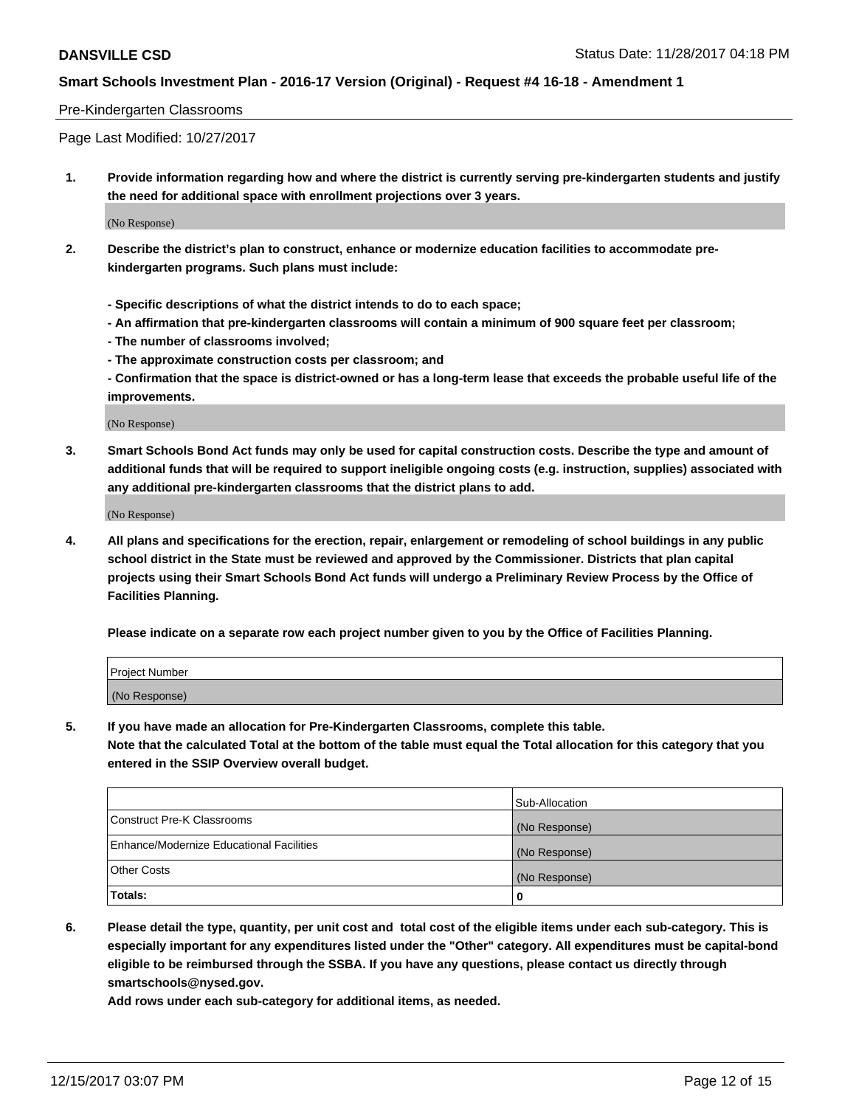#### Pre-Kindergarten Classrooms

Page Last Modified: 10/27/2017

**1. Provide information regarding how and where the district is currently serving pre-kindergarten students and justify the need for additional space with enrollment projections over 3 years.**

(No Response)

- **2. Describe the district's plan to construct, enhance or modernize education facilities to accommodate prekindergarten programs. Such plans must include:**
	- **Specific descriptions of what the district intends to do to each space;**
	- **An affirmation that pre-kindergarten classrooms will contain a minimum of 900 square feet per classroom;**
	- **The number of classrooms involved;**
	- **The approximate construction costs per classroom; and**

**- Confirmation that the space is district-owned or has a long-term lease that exceeds the probable useful life of the improvements.**

(No Response)

**3. Smart Schools Bond Act funds may only be used for capital construction costs. Describe the type and amount of additional funds that will be required to support ineligible ongoing costs (e.g. instruction, supplies) associated with any additional pre-kindergarten classrooms that the district plans to add.**

(No Response)

**4. All plans and specifications for the erection, repair, enlargement or remodeling of school buildings in any public school district in the State must be reviewed and approved by the Commissioner. Districts that plan capital projects using their Smart Schools Bond Act funds will undergo a Preliminary Review Process by the Office of Facilities Planning.**

**Please indicate on a separate row each project number given to you by the Office of Facilities Planning.**

| Project Number |  |
|----------------|--|
| (No Response)  |  |

**5. If you have made an allocation for Pre-Kindergarten Classrooms, complete this table.**

**Note that the calculated Total at the bottom of the table must equal the Total allocation for this category that you entered in the SSIP Overview overall budget.**

|                                          | Sub-Allocation |
|------------------------------------------|----------------|
| Construct Pre-K Classrooms               | (No Response)  |
| Enhance/Modernize Educational Facilities | (No Response)  |
| <b>Other Costs</b>                       | (No Response)  |
| <b>Totals:</b>                           | 0              |

**6. Please detail the type, quantity, per unit cost and total cost of the eligible items under each sub-category. This is especially important for any expenditures listed under the "Other" category. All expenditures must be capital-bond eligible to be reimbursed through the SSBA. If you have any questions, please contact us directly through smartschools@nysed.gov.**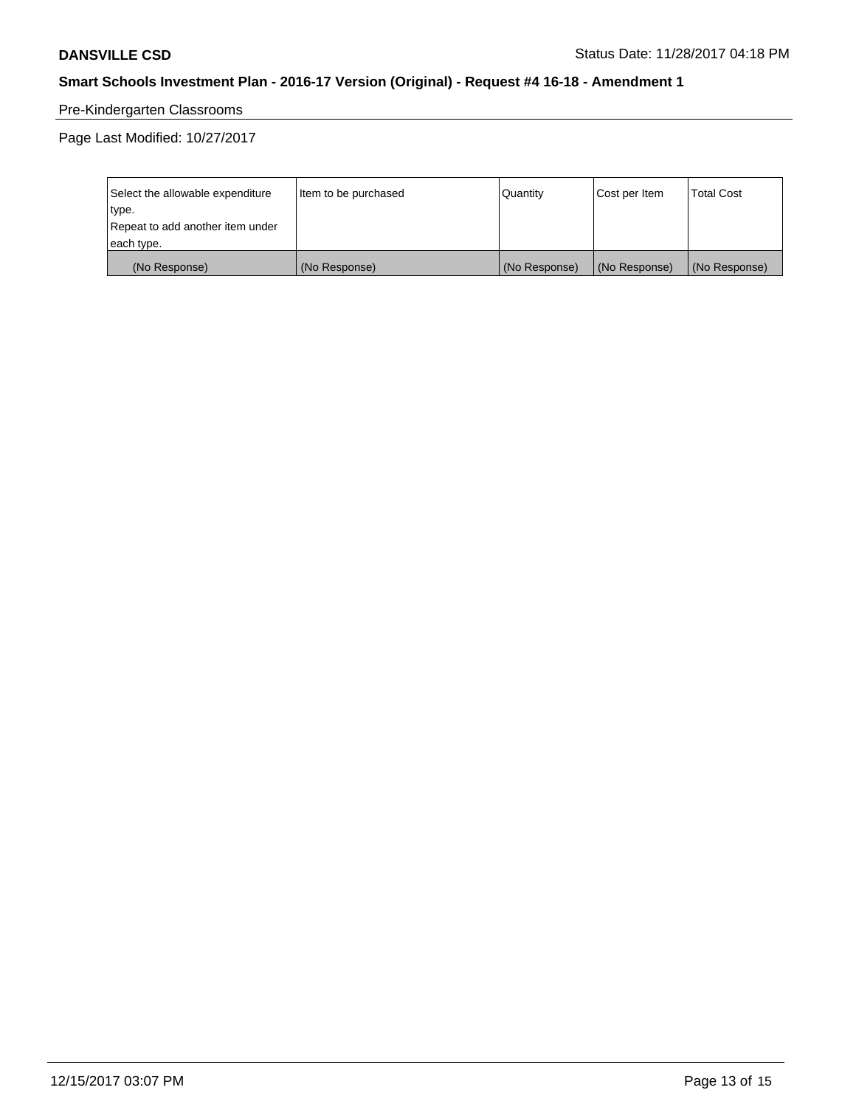# Pre-Kindergarten Classrooms

Page Last Modified: 10/27/2017

| Select the allowable expenditure | Item to be purchased | Quantity      | Cost per Item | <b>Total Cost</b> |
|----------------------------------|----------------------|---------------|---------------|-------------------|
| type.                            |                      |               |               |                   |
| Repeat to add another item under |                      |               |               |                   |
| each type.                       |                      |               |               |                   |
| (No Response)                    | (No Response)        | (No Response) | (No Response) | (No Response)     |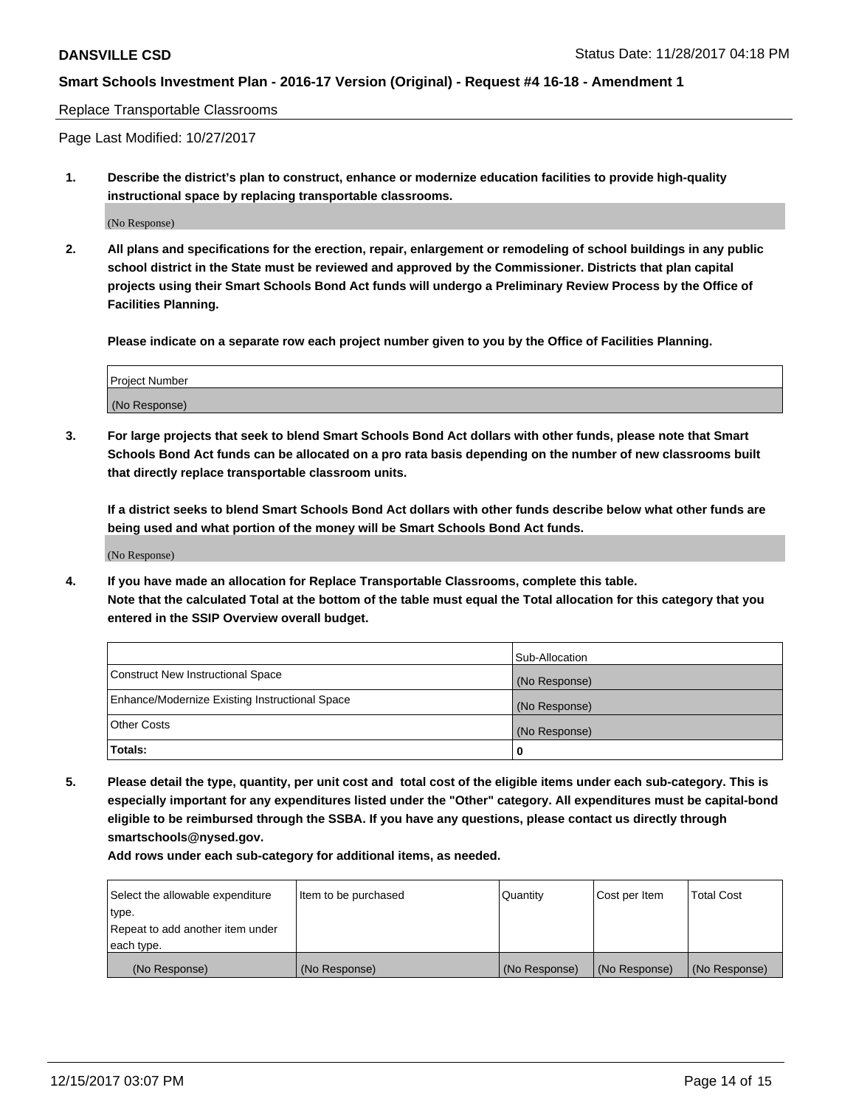#### Replace Transportable Classrooms

Page Last Modified: 10/27/2017

**1. Describe the district's plan to construct, enhance or modernize education facilities to provide high-quality instructional space by replacing transportable classrooms.**

(No Response)

**2. All plans and specifications for the erection, repair, enlargement or remodeling of school buildings in any public school district in the State must be reviewed and approved by the Commissioner. Districts that plan capital projects using their Smart Schools Bond Act funds will undergo a Preliminary Review Process by the Office of Facilities Planning.**

**Please indicate on a separate row each project number given to you by the Office of Facilities Planning.**

| <b>Project Number</b> |  |
|-----------------------|--|
| (No Response)         |  |

**3. For large projects that seek to blend Smart Schools Bond Act dollars with other funds, please note that Smart Schools Bond Act funds can be allocated on a pro rata basis depending on the number of new classrooms built that directly replace transportable classroom units.**

**If a district seeks to blend Smart Schools Bond Act dollars with other funds describe below what other funds are being used and what portion of the money will be Smart Schools Bond Act funds.**

(No Response)

**4. If you have made an allocation for Replace Transportable Classrooms, complete this table. Note that the calculated Total at the bottom of the table must equal the Total allocation for this category that you entered in the SSIP Overview overall budget.**

|                                                | Sub-Allocation |
|------------------------------------------------|----------------|
| Construct New Instructional Space              | (No Response)  |
| Enhance/Modernize Existing Instructional Space | (No Response)  |
| <b>Other Costs</b>                             | (No Response)  |
| Totals:                                        | 0              |

**5. Please detail the type, quantity, per unit cost and total cost of the eligible items under each sub-category. This is especially important for any expenditures listed under the "Other" category. All expenditures must be capital-bond eligible to be reimbursed through the SSBA. If you have any questions, please contact us directly through smartschools@nysed.gov.**

| Select the allowable expenditure | Item to be purchased | Quantity      | Cost per Item | <b>Total Cost</b> |
|----------------------------------|----------------------|---------------|---------------|-------------------|
| type.                            |                      |               |               |                   |
| Repeat to add another item under |                      |               |               |                   |
| each type.                       |                      |               |               |                   |
| (No Response)                    | (No Response)        | (No Response) | (No Response) | (No Response)     |